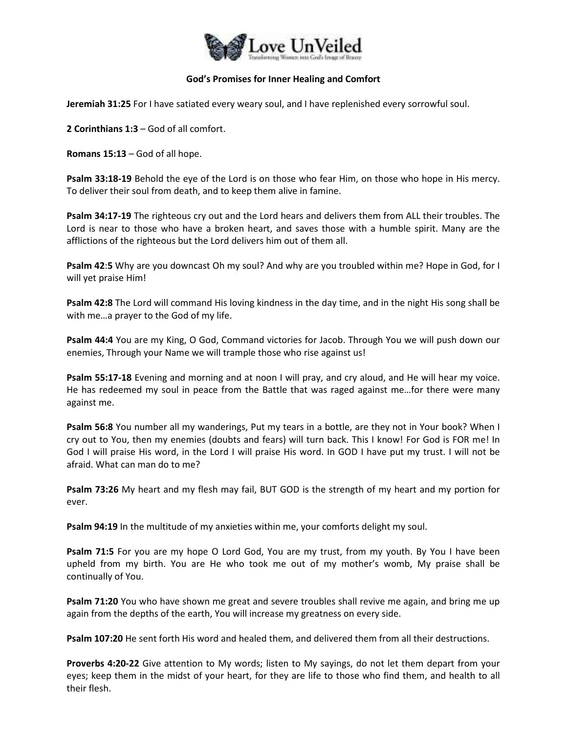

## **God's Promises for Inner Healing and Comfort**

**Jeremiah 31:25** For I have satiated every weary soul, and I have replenished every sorrowful soul.

**2 Corinthians 1:3** – God of all comfort.

**Romans 15:13** – God of all hope.

**Psalm 33:18-19** Behold the eye of the Lord is on those who fear Him, on those who hope in His mercy. To deliver their soul from death, and to keep them alive in famine.

**Psalm 34:17-19** The righteous cry out and the Lord hears and delivers them from ALL their troubles. The Lord is near to those who have a broken heart, and saves those with a humble spirit. Many are the afflictions of the righteous but the Lord delivers him out of them all.

**Psalm 42**:**5** Why are you downcast Oh my soul? And why are you troubled within me? Hope in God, for I will yet praise Him!

**Psalm 42:8** The Lord will command His loving kindness in the day time, and in the night His song shall be with me…a prayer to the God of my life.

**Psalm 44:4** You are my King, O God, Command victories for Jacob. Through You we will push down our enemies, Through your Name we will trample those who rise against us!

**Psalm 55:17-18** Evening and morning and at noon I will pray, and cry aloud, and He will hear my voice. He has redeemed my soul in peace from the Battle that was raged against me…for there were many against me.

**Psalm 56:8** You number all my wanderings, Put my tears in a bottle, are they not in Your book? When I cry out to You, then my enemies (doubts and fears) will turn back. This I know! For God is FOR me! In God I will praise His word, in the Lord I will praise His word. In GOD I have put my trust. I will not be afraid. What can man do to me?

**Psalm 73:26** My heart and my flesh may fail, BUT GOD is the strength of my heart and my portion for ever.

**Psalm 94:19** In the multitude of my anxieties within me, your comforts delight my soul.

**Psalm 71:5** For you are my hope O Lord God, You are my trust, from my youth. By You I have been upheld from my birth. You are He who took me out of my mother's womb, My praise shall be continually of You.

**Psalm 71:20** You who have shown me great and severe troubles shall revive me again, and bring me up again from the depths of the earth, You will increase my greatness on every side.

**Psalm 107:20** He sent forth His word and healed them, and delivered them from all their destructions.

**Proverbs 4:20-22** Give attention to My words; listen to My sayings, do not let them depart from your eyes; keep them in the midst of your heart, for they are life to those who find them, and health to all their flesh.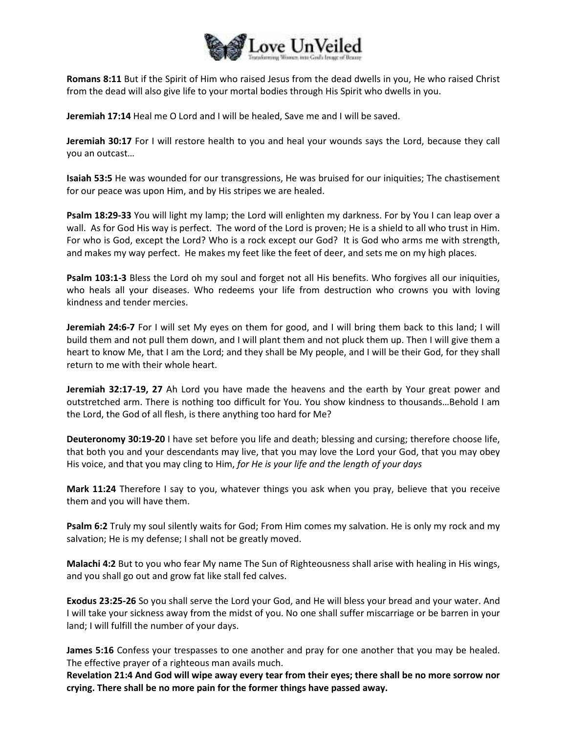

**Romans 8:11** But if the Spirit of Him who raised Jesus from the dead dwells in you, He who raised Christ from the dead will also give life to your mortal bodies through His Spirit who dwells in you.

**Jeremiah 17:14** Heal me O Lord and I will be healed, Save me and I will be saved.

**Jeremiah 30:17** For I will restore health to you and heal your wounds says the Lord, because they call you an outcast…

**Isaiah 53:5** He was wounded for our transgressions, He was bruised for our iniquities; The chastisement for our peace was upon Him, and by His stripes we are healed.

**Psalm 18:29-33** You will light my lamp; the Lord will enlighten my darkness. For by You I can leap over a wall. As for God His way is perfect. The word of the Lord is proven; He is a shield to all who trust in Him. For who is God, except the Lord? Who is a rock except our God? It is God who arms me with strength, and makes my way perfect. He makes my feet like the feet of deer, and sets me on my high places.

**Psalm 103:1-3** Bless the Lord oh my soul and forget not all His benefits. Who forgives all our iniquities, who heals all your diseases. Who redeems your life from destruction who crowns you with loving kindness and tender mercies.

**Jeremiah 24:6-7** For I will set My eyes on them for good, and I will bring them back to this land; I will build them and not pull them down, and I will plant them and not pluck them up. Then I will give them a heart to know Me, that I am the Lord; and they shall be My people, and I will be their God, for they shall return to me with their whole heart.

**Jeremiah 32:17-19, 27** Ah Lord you have made the heavens and the earth by Your great power and outstretched arm. There is nothing too difficult for You. You show kindness to thousands…Behold I am the Lord, the God of all flesh, is there anything too hard for Me?

**Deuteronomy 30:19-20** I have set before you life and death; blessing and cursing; therefore choose life, that both you and your descendants may live, that you may love the Lord your God, that you may obey His voice, and that you may cling to Him, *for He is your life and the length of your days*

**Mark 11:24** Therefore I say to you, whatever things you ask when you pray, believe that you receive them and you will have them.

**Psalm 6:2** Truly my soul silently waits for God; From Him comes my salvation. He is only my rock and my salvation; He is my defense; I shall not be greatly moved.

**Malachi 4:2** But to you who fear My name The Sun of Righteousness shall arise with healing in His wings, and you shall go out and grow fat like stall fed calves.

**Exodus 23:25-26** So you shall serve the Lord your God, and He will bless your bread and your water. And I will take your sickness away from the midst of you. No one shall suffer miscarriage or be barren in your land; I will fulfill the number of your days.

**James 5:16** Confess your trespasses to one another and pray for one another that you may be healed. The effective prayer of a righteous man avails much.

**Revelation 21:4 And God will wipe away every tear from their eyes; there shall be no more sorrow nor crying. There shall be no more pain for the former things have passed away.**